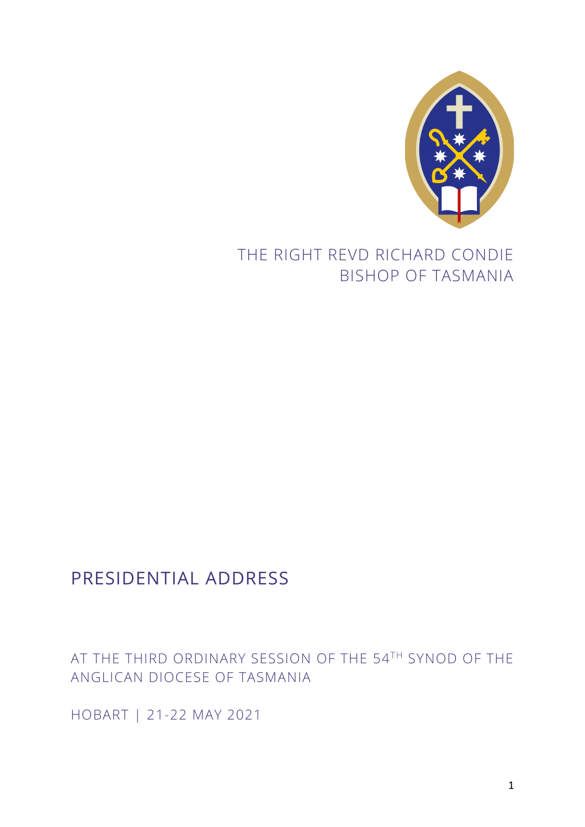

# THE RIGHT REVD RICHARD CONDIE BISHOP OF TASMANIA

# PRESIDENTIAL ADDRESS

## AT THE THIRD ORDINARY SESSION OF THE 54TH SYNOD OF THE ANGLICAN DIOCESE OF TASMANIA

HOBART | 21-22 MAY 2021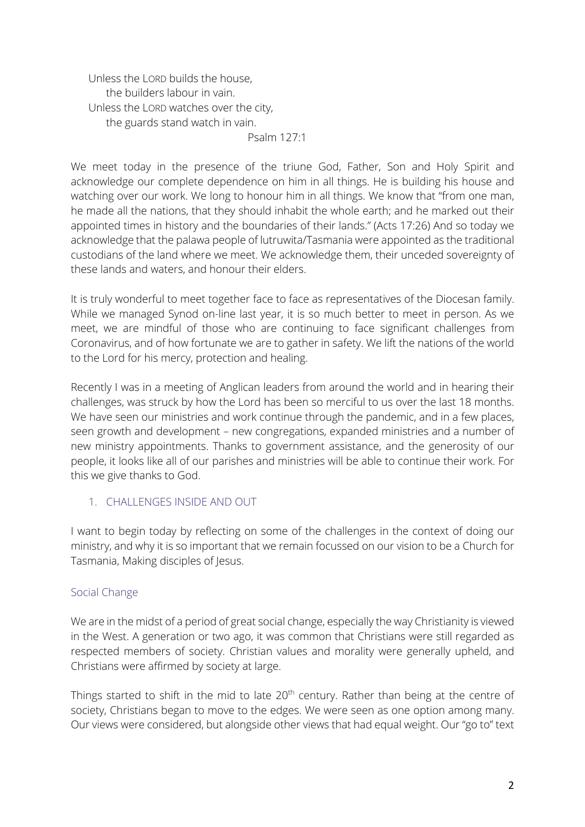Unless the LORD builds the house, the builders labour in vain. Unless the LORD watches over the city, the guards stand watch in vain.

Psalm 127:1

We meet today in the presence of the triune God, Father, Son and Holy Spirit and acknowledge our complete dependence on him in all things. He is building his house and watching over our work. We long to honour him in all things. We know that "from one man, he made all the nations, that they should inhabit the whole earth; and he marked out their appointed times in history and the boundaries of their lands." (Acts 17:26) And so today we acknowledge that the palawa people of lutruwita/Tasmania were appointed as the traditional custodians of the land where we meet. We acknowledge them, their unceded sovereignty of these lands and waters, and honour their elders.

It is truly wonderful to meet together face to face as representatives of the Diocesan family. While we managed Synod on-line last year, it is so much better to meet in person. As we meet, we are mindful of those who are continuing to face significant challenges from Coronavirus, and of how fortunate we are to gather in safety. We lift the nations of the world to the Lord for his mercy, protection and healing.

Recently I was in a meeting of Anglican leaders from around the world and in hearing their challenges, was struck by how the Lord has been so merciful to us over the last 18 months. We have seen our ministries and work continue through the pandemic, and in a few places, seen growth and development – new congregations, expanded ministries and a number of new ministry appointments. Thanks to government assistance, and the generosity of our people, it looks like all of our parishes and ministries will be able to continue their work. For this we give thanks to God.

## 1. CHALLENGES INSIDE AND OUT

I want to begin today by reflecting on some of the challenges in the context of doing our ministry, and why it is so important that we remain focussed on our vision to be a Church for Tasmania, Making disciples of Jesus.

## Social Change

We are in the midst of a period of great social change, especially the way Christianity is viewed in the West. A generation or two ago, it was common that Christians were still regarded as respected members of society. Christian values and morality were generally upheld, and Christians were affirmed by society at large.

Things started to shift in the mid to late  $20<sup>th</sup>$  century. Rather than being at the centre of society, Christians began to move to the edges. We were seen as one option among many. Our views were considered, but alongside other views that had equal weight. Our "go to" text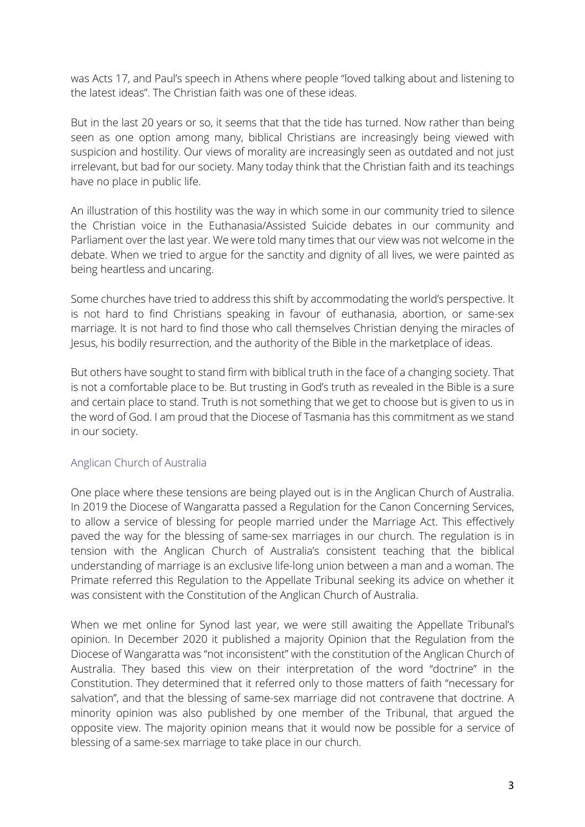was Acts 17, and Paul's speech in Athens where people "loved talking about and listening to the latest ideas". The Christian faith was one of these ideas.

But in the last 20 years or so, it seems that that the tide has turned. Now rather than being seen as one option among many, biblical Christians are increasingly being viewed with suspicion and hostility. Our views of morality are increasingly seen as outdated and not just irrelevant, but bad for our society. Many today think that the Christian faith and its teachings have no place in public life.

An illustration of this hostility was the way in which some in our community tried to silence the Christian voice in the Euthanasia/Assisted Suicide debates in our community and Parliament over the last year. We were told many times that our view was not welcome in the debate. When we tried to argue for the sanctity and dignity of all lives, we were painted as being heartless and uncaring.

Some churches have tried to address this shift by accommodating the world's perspective. It is not hard to find Christians speaking in favour of euthanasia, abortion, or same-sex marriage. It is not hard to find those who call themselves Christian denying the miracles of Jesus, his bodily resurrection, and the authority of the Bible in the marketplace of ideas.

But others have sought to stand firm with biblical truth in the face of a changing society. That is not a comfortable place to be. But trusting in God's truth as revealed in the Bible is a sure and certain place to stand. Truth is not something that we get to choose but is given to us in the word of God. I am proud that the Diocese of Tasmania has this commitment as we stand in our society.

#### Anglican Church of Australia

One place where these tensions are being played out is in the Anglican Church of Australia. In 2019 the Diocese of Wangaratta passed a Regulation for the Canon Concerning Services, to allow a service of blessing for people married under the Marriage Act. This effectively paved the way for the blessing of same-sex marriages in our church. The regulation is in tension with the Anglican Church of Australia's consistent teaching that the biblical understanding of marriage is an exclusive life-long union between a man and a woman. The Primate referred this Regulation to the Appellate Tribunal seeking its advice on whether it was consistent with the Constitution of the Anglican Church of Australia.

When we met online for Synod last year, we were still awaiting the Appellate Tribunal's opinion. In December 2020 it published a majority Opinion that the Regulation from the Diocese of Wangaratta was "not inconsistent" with the constitution of the Anglican Church of Australia. They based this view on their interpretation of the word "doctrine" in the Constitution. They determined that it referred only to those matters of faith "necessary for salvation", and that the blessing of same-sex marriage did not contravene that doctrine. A minority opinion was also published by one member of the Tribunal, that argued the opposite view. The majority opinion means that it would now be possible for a service of blessing of a same-sex marriage to take place in our church.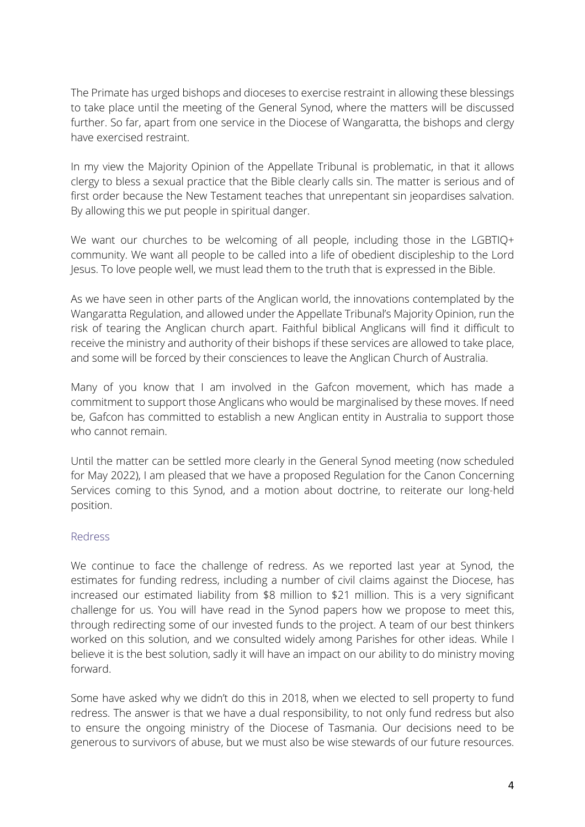The Primate has urged bishops and dioceses to exercise restraint in allowing these blessings to take place until the meeting of the General Synod, where the matters will be discussed further. So far, apart from one service in the Diocese of Wangaratta, the bishops and clergy have exercised restraint.

In my view the Majority Opinion of the Appellate Tribunal is problematic, in that it allows clergy to bless a sexual practice that the Bible clearly calls sin. The matter is serious and of first order because the New Testament teaches that unrepentant sin jeopardises salvation. By allowing this we put people in spiritual danger.

We want our churches to be welcoming of all people, including those in the LGBTIQ+ community. We want all people to be called into a life of obedient discipleship to the Lord Jesus. To love people well, we must lead them to the truth that is expressed in the Bible.

As we have seen in other parts of the Anglican world, the innovations contemplated by the Wangaratta Regulation, and allowed under the Appellate Tribunal's Majority Opinion, run the risk of tearing the Anglican church apart. Faithful biblical Anglicans will find it difficult to receive the ministry and authority of their bishops if these services are allowed to take place, and some will be forced by their consciences to leave the Anglican Church of Australia.

Many of you know that I am involved in the Gafcon movement, which has made a commitment to support those Anglicans who would be marginalised by these moves. If need be, Gafcon has committed to establish a new Anglican entity in Australia to support those who cannot remain.

Until the matter can be settled more clearly in the General Synod meeting (now scheduled for May 2022), I am pleased that we have a proposed Regulation for the Canon Concerning Services coming to this Synod, and a motion about doctrine, to reiterate our long-held position.

#### Redress

We continue to face the challenge of redress. As we reported last year at Synod, the estimates for funding redress, including a number of civil claims against the Diocese, has increased our estimated liability from \$8 million to \$21 million. This is a very significant challenge for us. You will have read in the Synod papers how we propose to meet this, through redirecting some of our invested funds to the project. A team of our best thinkers worked on this solution, and we consulted widely among Parishes for other ideas. While I believe it is the best solution, sadly it will have an impact on our ability to do ministry moving forward.

Some have asked why we didn't do this in 2018, when we elected to sell property to fund redress. The answer is that we have a dual responsibility, to not only fund redress but also to ensure the ongoing ministry of the Diocese of Tasmania. Our decisions need to be generous to survivors of abuse, but we must also be wise stewards of our future resources.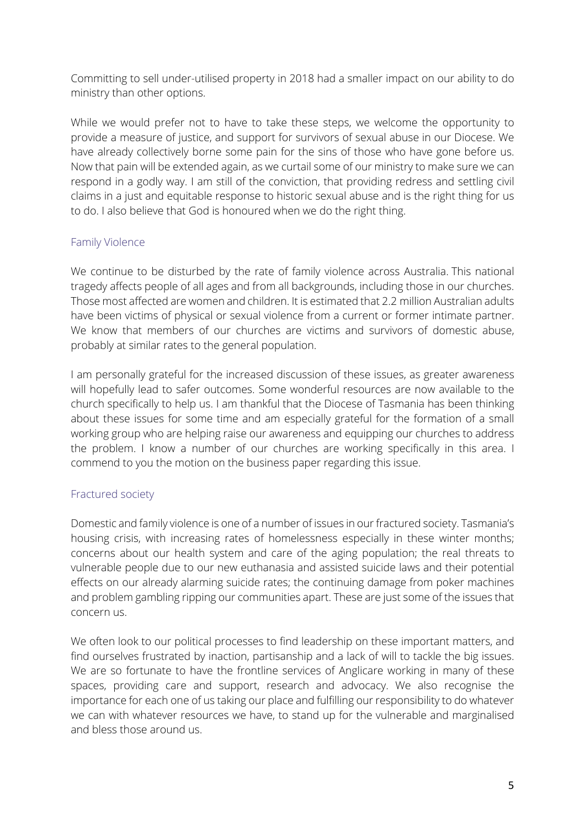Committing to sell under-utilised property in 2018 had a smaller impact on our ability to do ministry than other options.

While we would prefer not to have to take these steps, we welcome the opportunity to provide a measure of justice, and support for survivors of sexual abuse in our Diocese. We have already collectively borne some pain for the sins of those who have gone before us. Now that pain will be extended again, as we curtail some of our ministry to make sure we can respond in a godly way. I am still of the conviction, that providing redress and settling civil claims in a just and equitable response to historic sexual abuse and is the right thing for us to do. I also believe that God is honoured when we do the right thing.

## Family Violence

We continue to be disturbed by the rate of family violence across Australia. This national tragedy affects people of all ages and from all backgrounds, including those in our churches. Those most affected are women and children. It is estimated that 2.2 million Australian adults have been victims of physical or sexual violence from a current or former intimate partner. We know that members of our churches are victims and survivors of domestic abuse, probably at similar rates to the general population.

I am personally grateful for the increased discussion of these issues, as greater awareness will hopefully lead to safer outcomes. Some wonderful resources are now available to the church specifically to help us. I am thankful that the Diocese of Tasmania has been thinking about these issues for some time and am especially grateful for the formation of a small working group who are helping raise our awareness and equipping our churches to address the problem. I know a number of our churches are working specifically in this area. I commend to you the motion on the business paper regarding this issue.

## Fractured society

Domestic and family violence is one of a number of issues in our fractured society. Tasmania's housing crisis, with increasing rates of homelessness especially in these winter months; concerns about our health system and care of the aging population; the real threats to vulnerable people due to our new euthanasia and assisted suicide laws and their potential effects on our already alarming suicide rates; the continuing damage from poker machines and problem gambling ripping our communities apart. These are just some of the issues that concern us.

We often look to our political processes to find leadership on these important matters, and find ourselves frustrated by inaction, partisanship and a lack of will to tackle the big issues. We are so fortunate to have the frontline services of Anglicare working in many of these spaces, providing care and support, research and advocacy. We also recognise the importance for each one of us taking our place and fulfilling our responsibility to do whatever we can with whatever resources we have, to stand up for the vulnerable and marginalised and bless those around us.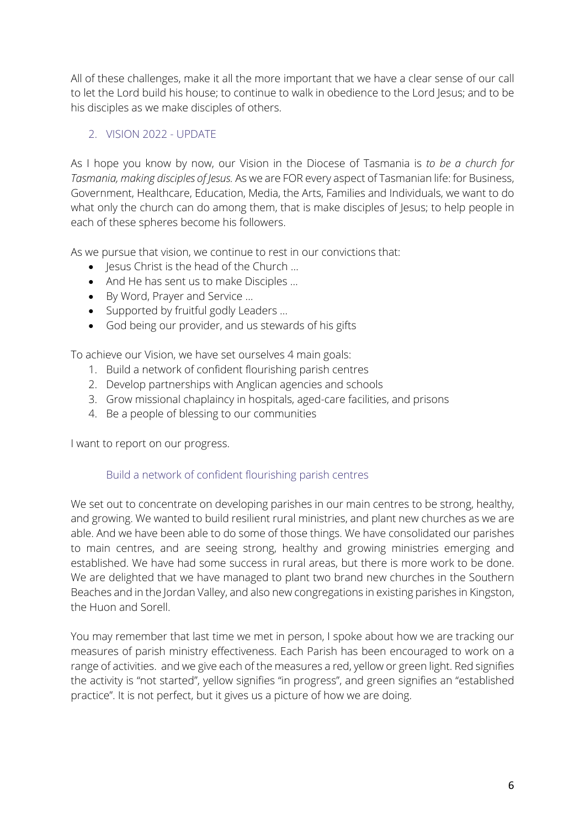All of these challenges, make it all the more important that we have a clear sense of our call to let the Lord build his house; to continue to walk in obedience to the Lord Jesus; and to be his disciples as we make disciples of others.

## 2. VISION 2022 - UPDATE

As I hope you know by now, our Vision in the Diocese of Tasmania is *to be a church for Tasmania, making disciples of Jesus.* As we are FOR every aspect of Tasmanian life: for Business, Government, Healthcare, Education, Media, the Arts, Families and Individuals, we want to do what only the church can do among them, that is make disciples of Jesus; to help people in each of these spheres become his followers.

As we pursue that vision, we continue to rest in our convictions that:

- lesus Christ is the head of the Church ...
- And He has sent us to make Disciples …
- By Word, Prayer and Service …
- Supported by fruitful godly Leaders …
- God being our provider, and us stewards of his gifts

To achieve our Vision, we have set ourselves 4 main goals:

- 1. Build a network of confident flourishing parish centres
- 2. Develop partnerships with Anglican agencies and schools
- 3. Grow missional chaplaincy in hospitals, aged-care facilities, and prisons
- 4. Be a people of blessing to our communities

I want to report on our progress.

#### Build a network of confident flourishing parish centres

We set out to concentrate on developing parishes in our main centres to be strong, healthy, and growing. We wanted to build resilient rural ministries, and plant new churches as we are able. And we have been able to do some of those things. We have consolidated our parishes to main centres, and are seeing strong, healthy and growing ministries emerging and established. We have had some success in rural areas, but there is more work to be done. We are delighted that we have managed to plant two brand new churches in the Southern Beaches and in the Jordan Valley, and also new congregations in existing parishes in Kingston, the Huon and Sorell.

You may remember that last time we met in person, I spoke about how we are tracking our measures of parish ministry effectiveness. Each Parish has been encouraged to work on a range of activities. and we give each of the measures a red, yellow or green light. Red signifies the activity is "not started", yellow signifies "in progress", and green signifies an "established practice". It is not perfect, but it gives us a picture of how we are doing.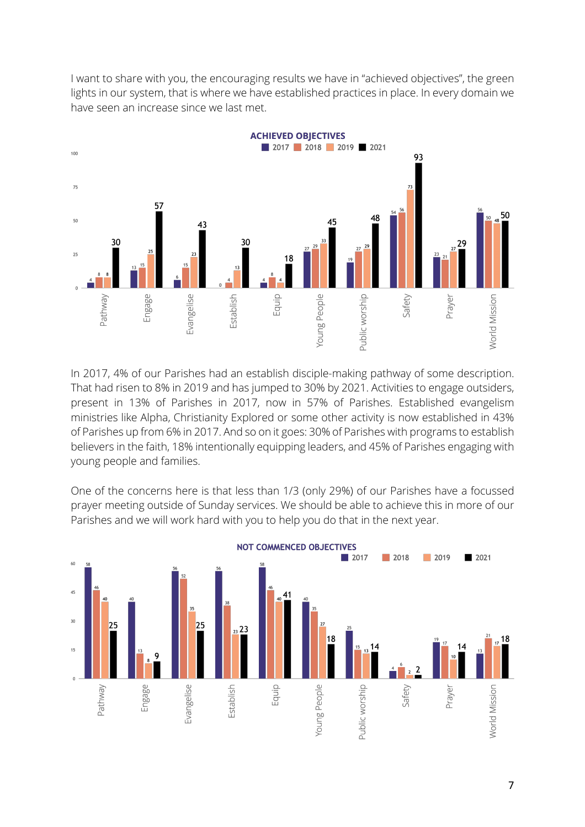I want to share with you, the encouraging results we have in "achieved objectives", the green lights in our system, that is where we have established practices in place. In every domain we have seen an increase since we last met.



In 2017, 4% of our Parishes had an establish disciple-making pathway of some description. That had risen to 8% in 2019 and has jumped to 30% by 2021. Activities to engage outsiders, present in 13% of Parishes in 2017, now in 57% of Parishes. Established evangelism ministries like Alpha, Christianity Explored or some other activity is now established in 43% of Parishes up from 6% in 2017. And so on it goes: 30% of Parishes with programs to establish believers in the faith, 18% intentionally equipping leaders, and 45% of Parishes engaging with young people and families.

One of the concerns here is that less than 1/3 (only 29%) of our Parishes have a focussed prayer meeting outside of Sunday services. We should be able to achieve this in more of our Parishes and we will work hard with you to help you do that in the next year.

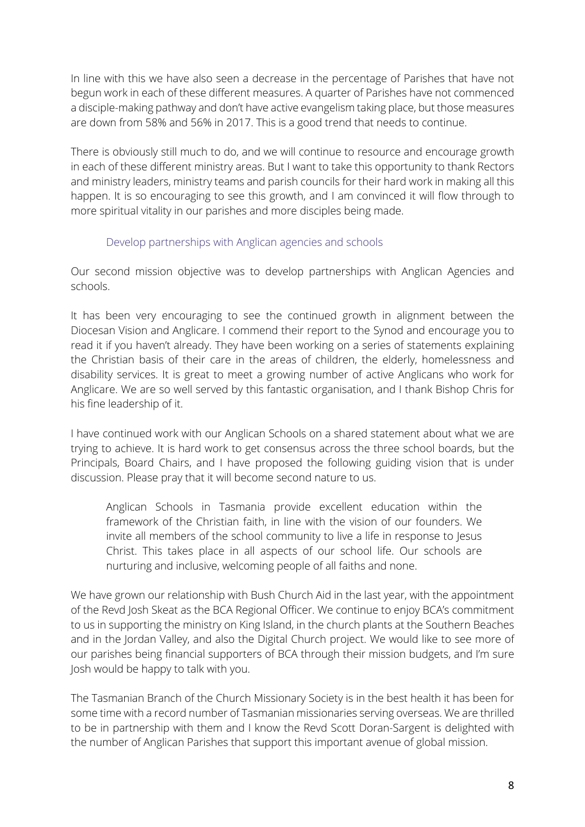In line with this we have also seen a decrease in the percentage of Parishes that have not begun work in each of these different measures. A quarter of Parishes have not commenced a disciple-making pathway and don't have active evangelism taking place, but those measures are down from 58% and 56% in 2017. This is a good trend that needs to continue.

There is obviously still much to do, and we will continue to resource and encourage growth in each of these different ministry areas. But I want to take this opportunity to thank Rectors and ministry leaders, ministry teams and parish councils for their hard work in making all this happen. It is so encouraging to see this growth, and I am convinced it will flow through to more spiritual vitality in our parishes and more disciples being made.

#### Develop partnerships with Anglican agencies and schools

Our second mission objective was to develop partnerships with Anglican Agencies and schools.

It has been very encouraging to see the continued growth in alignment between the Diocesan Vision and Anglicare. I commend their report to the Synod and encourage you to read it if you haven't already. They have been working on a series of statements explaining the Christian basis of their care in the areas of children, the elderly, homelessness and disability services. It is great to meet a growing number of active Anglicans who work for Anglicare. We are so well served by this fantastic organisation, and I thank Bishop Chris for his fine leadership of it.

I have continued work with our Anglican Schools on a shared statement about what we are trying to achieve. It is hard work to get consensus across the three school boards, but the Principals, Board Chairs, and I have proposed the following guiding vision that is under discussion. Please pray that it will become second nature to us.

Anglican Schools in Tasmania provide excellent education within the framework of the Christian faith, in line with the vision of our founders. We invite all members of the school community to live a life in response to Jesus Christ. This takes place in all aspects of our school life. Our schools are nurturing and inclusive, welcoming people of all faiths and none.

We have grown our relationship with Bush Church Aid in the last year, with the appointment of the Revd Josh Skeat as the BCA Regional Officer. We continue to enjoy BCA's commitment to us in supporting the ministry on King Island, in the church plants at the Southern Beaches and in the Jordan Valley, and also the Digital Church project. We would like to see more of our parishes being financial supporters of BCA through their mission budgets, and I'm sure Josh would be happy to talk with you.

The Tasmanian Branch of the Church Missionary Society is in the best health it has been for some time with a record number of Tasmanian missionaries serving overseas. We are thrilled to be in partnership with them and I know the Revd Scott Doran-Sargent is delighted with the number of Anglican Parishes that support this important avenue of global mission.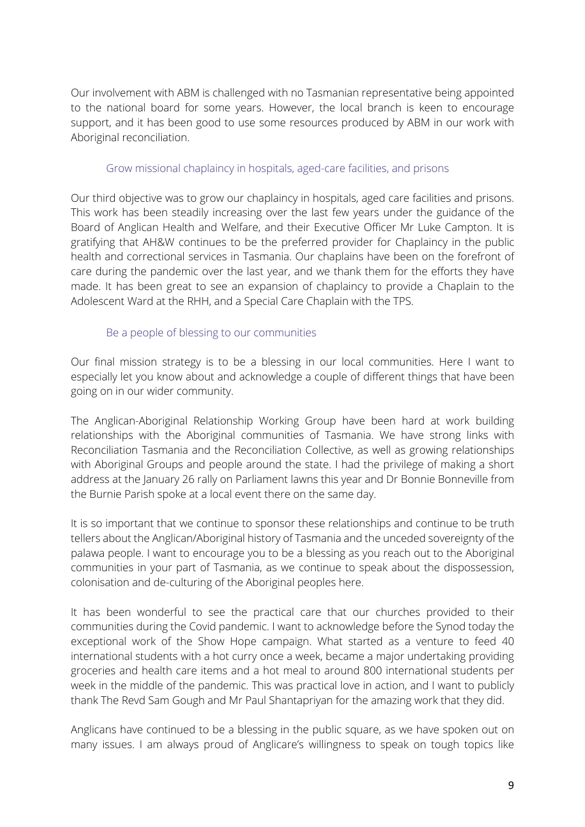Our involvement with ABM is challenged with no Tasmanian representative being appointed to the national board for some years. However, the local branch is keen to encourage support, and it has been good to use some resources produced by ABM in our work with Aboriginal reconciliation.

#### Grow missional chaplaincy in hospitals, aged-care facilities, and prisons

Our third objective was to grow our chaplaincy in hospitals, aged care facilities and prisons. This work has been steadily increasing over the last few years under the guidance of the Board of Anglican Health and Welfare, and their Executive Officer Mr Luke Campton. It is gratifying that AH&W continues to be the preferred provider for Chaplaincy in the public health and correctional services in Tasmania. Our chaplains have been on the forefront of care during the pandemic over the last year, and we thank them for the efforts they have made. It has been great to see an expansion of chaplaincy to provide a Chaplain to the Adolescent Ward at the RHH, and a Special Care Chaplain with the TPS.

#### Be a people of blessing to our communities

Our final mission strategy is to be a blessing in our local communities. Here I want to especially let you know about and acknowledge a couple of different things that have been going on in our wider community.

The Anglican-Aboriginal Relationship Working Group have been hard at work building relationships with the Aboriginal communities of Tasmania. We have strong links with Reconciliation Tasmania and the Reconciliation Collective, as well as growing relationships with Aboriginal Groups and people around the state. I had the privilege of making a short address at the January 26 rally on Parliament lawns this year and Dr Bonnie Bonneville from the Burnie Parish spoke at a local event there on the same day.

It is so important that we continue to sponsor these relationships and continue to be truth tellers about the Anglican/Aboriginal history of Tasmania and the unceded sovereignty of the palawa people. I want to encourage you to be a blessing as you reach out to the Aboriginal communities in your part of Tasmania, as we continue to speak about the dispossession, colonisation and de-culturing of the Aboriginal peoples here.

It has been wonderful to see the practical care that our churches provided to their communities during the Covid pandemic. I want to acknowledge before the Synod today the exceptional work of the Show Hope campaign. What started as a venture to feed 40 international students with a hot curry once a week, became a major undertaking providing groceries and health care items and a hot meal to around 800 international students per week in the middle of the pandemic. This was practical love in action, and I want to publicly thank The Revd Sam Gough and Mr Paul Shantapriyan for the amazing work that they did.

Anglicans have continued to be a blessing in the public square, as we have spoken out on many issues. I am always proud of Anglicare's willingness to speak on tough topics like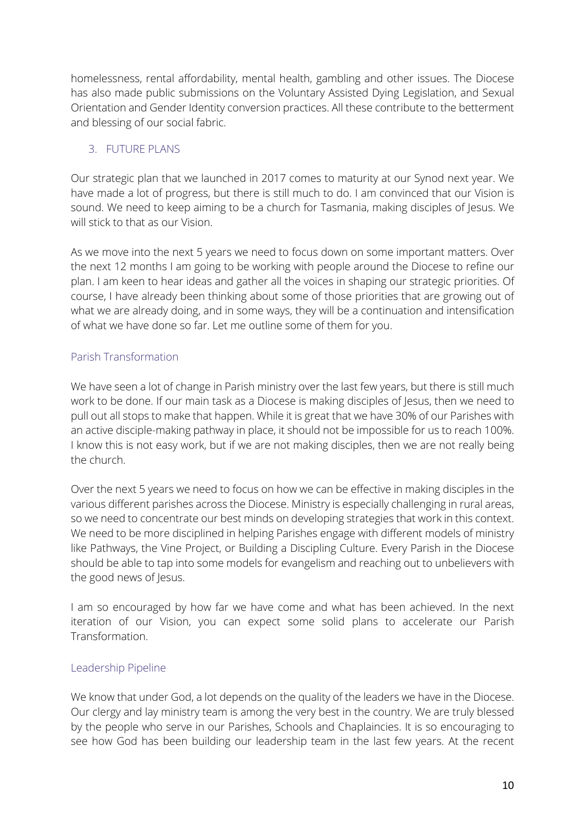homelessness, rental affordability, mental health, gambling and other issues. The Diocese has also made public submissions on the Voluntary Assisted Dying Legislation, and Sexual Orientation and Gender Identity conversion practices. All these contribute to the betterment and blessing of our social fabric.

## 3. FUTURE PLANS

Our strategic plan that we launched in 2017 comes to maturity at our Synod next year. We have made a lot of progress, but there is still much to do. I am convinced that our Vision is sound. We need to keep aiming to be a church for Tasmania, making disciples of Jesus. We will stick to that as our Vision.

As we move into the next 5 years we need to focus down on some important matters. Over the next 12 months I am going to be working with people around the Diocese to refine our plan. I am keen to hear ideas and gather all the voices in shaping our strategic priorities. Of course, I have already been thinking about some of those priorities that are growing out of what we are already doing, and in some ways, they will be a continuation and intensification of what we have done so far. Let me outline some of them for you.

## Parish Transformation

We have seen a lot of change in Parish ministry over the last few years, but there is still much work to be done. If our main task as a Diocese is making disciples of Jesus, then we need to pull out all stops to make that happen. While it is great that we have 30% of our Parishes with an active disciple-making pathway in place, it should not be impossible for us to reach 100%. I know this is not easy work, but if we are not making disciples, then we are not really being the church.

Over the next 5 years we need to focus on how we can be effective in making disciples in the various different parishes across the Diocese. Ministry is especially challenging in rural areas, so we need to concentrate our best minds on developing strategies that work in this context. We need to be more disciplined in helping Parishes engage with different models of ministry like Pathways, the Vine Project, or Building a Discipling Culture. Every Parish in the Diocese should be able to tap into some models for evangelism and reaching out to unbelievers with the good news of Jesus.

I am so encouraged by how far we have come and what has been achieved. In the next iteration of our Vision, you can expect some solid plans to accelerate our Parish Transformation.

## Leadership Pipeline

We know that under God, a lot depends on the quality of the leaders we have in the Diocese. Our clergy and lay ministry team is among the very best in the country. We are truly blessed by the people who serve in our Parishes, Schools and Chaplaincies. It is so encouraging to see how God has been building our leadership team in the last few years. At the recent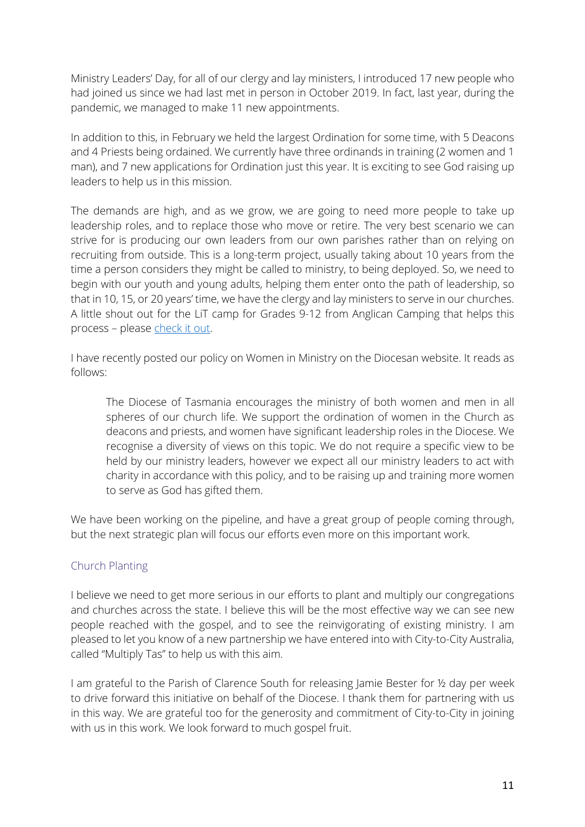Ministry Leaders' Day, for all of our clergy and lay ministers, I introduced 17 new people who had joined us since we had last met in person in October 2019. In fact, last year, during the pandemic, we managed to make 11 new appointments.

In addition to this, in February we held the largest Ordination for some time, with 5 Deacons and 4 Priests being ordained. We currently have three ordinands in training (2 women and 1 man), and 7 new applications for Ordination just this year. It is exciting to see God raising up leaders to help us in this mission.

The demands are high, and as we grow, we are going to need more people to take up leadership roles, and to replace those who move or retire. The very best scenario we can strive for is producing our own leaders from our own parishes rather than on relying on recruiting from outside. This is a long-term project, usually taking about 10 years from the time a person considers they might be called to ministry, to being deployed. So, we need to begin with our youth and young adults, helping them enter onto the path of leadership, so that in 10, 15, or 20 years' time, we have the clergy and lay ministers to serve in our churches. A little shout out for the LiT camp for Grades 9-12 from Anglican Camping that helps this process – please check it out.

I have recently posted our policy on Women in Ministry on the Diocesan website. It reads as follows:

The Diocese of Tasmania encourages the ministry of both women and men in all spheres of our church life. We support the ordination of women in the Church as deacons and priests, and women have significant leadership roles in the Diocese. We recognise a diversity of views on this topic. We do not require a specific view to be held by our ministry leaders, however we expect all our ministry leaders to act with charity in accordance with this policy, and to be raising up and training more women to serve as God has gifted them.

We have been working on the pipeline, and have a great group of people coming through, but the next strategic plan will focus our efforts even more on this important work.

## Church Planting

I believe we need to get more serious in our efforts to plant and multiply our congregations and churches across the state. I believe this will be the most effective way we can see new people reached with the gospel, and to see the reinvigorating of existing ministry. I am pleased to let you know of a new partnership we have entered into with City-to-City Australia, called "Multiply Tas" to help us with this aim.

I am grateful to the Parish of Clarence South for releasing Jamie Bester for ½ day per week to drive forward this initiative on behalf of the Diocese. I thank them for partnering with us in this way. We are grateful too for the generosity and commitment of City-to-City in joining with us in this work. We look forward to much gospel fruit.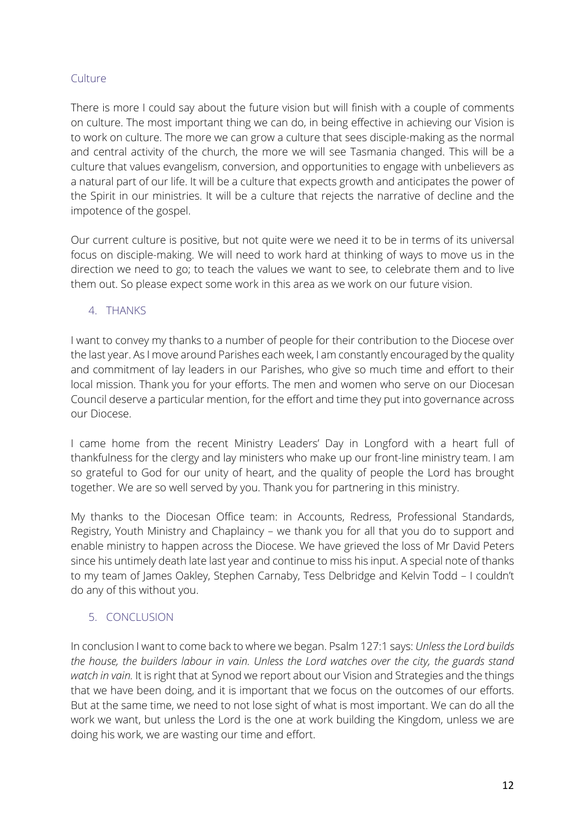## **Culture**

There is more I could say about the future vision but will finish with a couple of comments on culture. The most important thing we can do, in being effective in achieving our Vision is to work on culture. The more we can grow a culture that sees disciple-making as the normal and central activity of the church, the more we will see Tasmania changed. This will be a culture that values evangelism, conversion, and opportunities to engage with unbelievers as a natural part of our life. It will be a culture that expects growth and anticipates the power of the Spirit in our ministries. It will be a culture that rejects the narrative of decline and the impotence of the gospel.

Our current culture is positive, but not quite were we need it to be in terms of its universal focus on disciple-making. We will need to work hard at thinking of ways to move us in the direction we need to go; to teach the values we want to see, to celebrate them and to live them out. So please expect some work in this area as we work on our future vision.

## 4. THANKS

I want to convey my thanks to a number of people for their contribution to the Diocese over the last year. As I move around Parishes each week, I am constantly encouraged by the quality and commitment of lay leaders in our Parishes, who give so much time and effort to their local mission. Thank you for your efforts. The men and women who serve on our Diocesan Council deserve a particular mention, for the effort and time they put into governance across our Diocese.

I came home from the recent Ministry Leaders' Day in Longford with a heart full of thankfulness for the clergy and lay ministers who make up our front-line ministry team. I am so grateful to God for our unity of heart, and the quality of people the Lord has brought together. We are so well served by you. Thank you for partnering in this ministry.

My thanks to the Diocesan Office team: in Accounts, Redress, Professional Standards, Registry, Youth Ministry and Chaplaincy – we thank you for all that you do to support and enable ministry to happen across the Diocese. We have grieved the loss of Mr David Peters since his untimely death late last year and continue to miss his input. A special note of thanks to my team of James Oakley, Stephen Carnaby, Tess Delbridge and Kelvin Todd - I couldn't do any of this without you.

## 5. CONCLUSION

In conclusion I want to come back to where we began. Psalm 127:1 says: *Unless the Lord builds the house, the builders labour in vain. Unless the Lord watches over the city, the guards stand watch in vain.* It is right that at Synod we report about our Vision and Strategies and the things that we have been doing, and it is important that we focus on the outcomes of our efforts. But at the same time, we need to not lose sight of what is most important. We can do all the work we want, but unless the Lord is the one at work building the Kingdom, unless we are doing his work, we are wasting our time and effort.